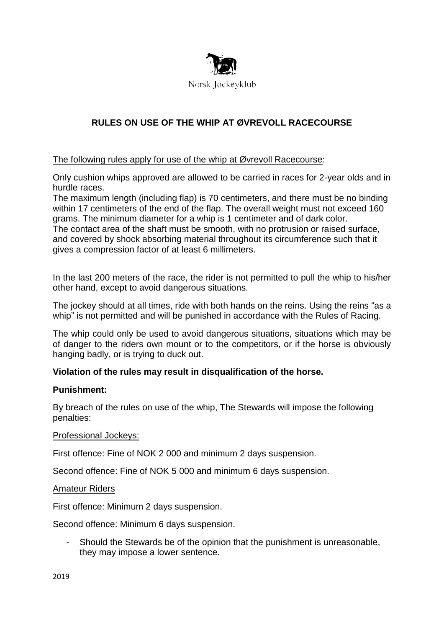

# **RULES ON USE OF THE WHIP AT ØVREVOLL RACECOURSE**

## The following rules apply for use of the whip at Øvrevoll Racecourse:

Only cushion whips approved are allowed to be carried in races for 2-year olds and in hurdle races.

The maximum length (including flap) is 70 centimeters, and there must be no binding within 17 centimeters of the end of the flap. The overall weight must not exceed 160 grams. The minimum diameter for a whip is 1 centimeter and of dark color. The contact area of the shaft must be smooth, with no protrusion or raised surface, and covered by shock absorbing material throughout its circumference such that it gives a compression factor of at least 6 millimeters.

In the last 200 meters of the race, the rider is not permitted to pull the whip to his/her other hand, except to avoid dangerous situations.

The jockey should at all times, ride with both hands on the reins. Using the reins "as a whip" is not permitted and will be punished in accordance with the Rules of Racing.

The whip could only be used to avoid dangerous situations, situations which may be of danger to the riders own mount or to the competitors, or if the horse is obviously hanging badly, or is trying to duck out.

## **Violation of the rules may result in disqualification of the horse.**

## **Punishment:**

By breach of the rules on use of the whip, The Stewards will impose the following penalties:

#### Professional Jockeys:

First offence: Fine of NOK 2 000 and minimum 2 days suspension.

Second offence: Fine of NOK 5 000 and minimum 6 days suspension.

#### Amateur Riders

First offence: Minimum 2 days suspension.

Second offence: Minimum 6 days suspension.

Should the Stewards be of the opinion that the punishment is unreasonable, they may impose a lower sentence.